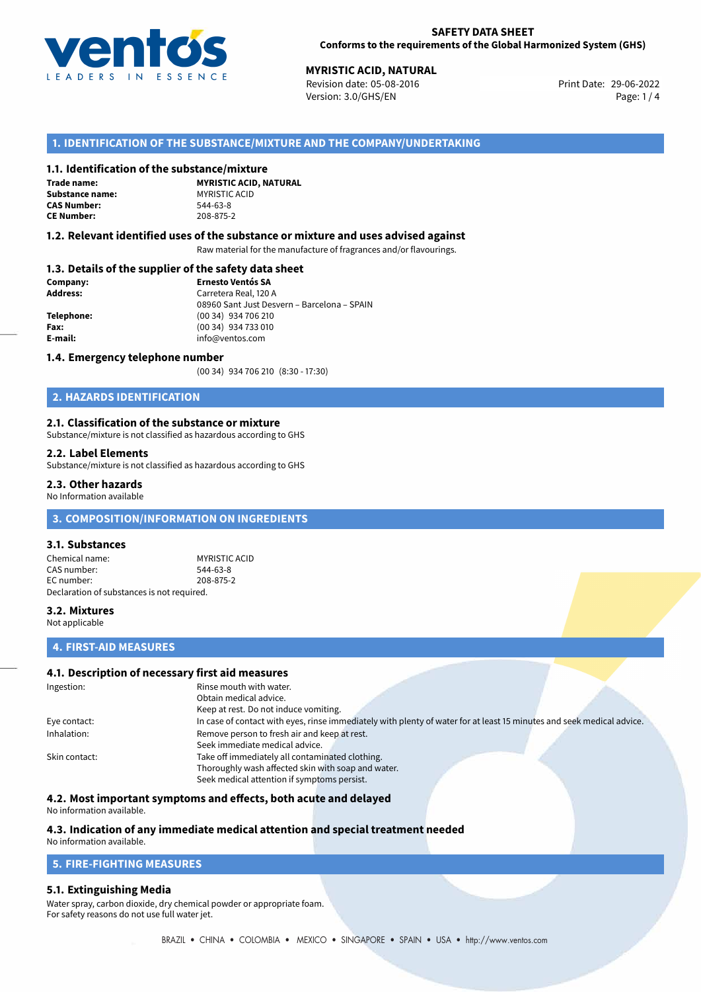

# **MYRISTIC ACID, NATURAL**<br>
Revision date: 05-08-2016<br> **Print Date: 29-06-2022**

Revision date: 05-08-2016 Version: 3.0/GHS/EN Page: 1 / 4

# **1. IDENTIFICATION OF THE SUBSTANCE/MIXTURE AND THE COMPANY/UNDERTAKING**

# **1.1. Identification of the substance/mixture**

**Trade name: Substance name:** MYRISTIC ACID **CAS Number: CE Number:** 208-875-2

**MYRISTIC ACID, NATURAL**

## **1.2. Relevant identified uses of the substance or mixture and uses advised against**

Raw material for the manufacture of fragrances and/or flavourings.

# **1.3. Details of the supplier of the safety data sheet**

| Company:   | <b>Ernesto Ventós SA</b>                    |  |  |
|------------|---------------------------------------------|--|--|
| Address:   | Carretera Real, 120 A                       |  |  |
|            | 08960 Sant Just Desvern - Barcelona - SPAIN |  |  |
| Telephone: | (00 34) 934 706 210                         |  |  |
| Fax:       | (00 34) 934 733 010                         |  |  |
| E-mail:    | info@ventos.com                             |  |  |
|            |                                             |  |  |

#### **1.4. Emergency telephone number**

(00 34) 934 706 210 (8:30 - 17:30)

# **2. HAZARDS IDENTIFICATION**

# **2.1. Classification of the substance or mixture**

Substance/mixture is not classified as hazardous according to GHS

#### **2.2. Label Elements**

Substance/mixture is not classified as hazardous according to GHS

## **2.3. Other hazards**

No Information available

# **3. COMPOSITION/INFORMATION ON INGREDIENTS**

# **3.1. Substances**

Chemical name: MYRISTIC ACID CAS number: 544-63-8 EC number: 208-875-2 Declaration of substances is not required.

# **3.2. Mixtures**

Not applicable

# **4. FIRST-AID MEASURES**

# **4.1. Description of necessary first aid measures**

| Ingestion:    | Rinse mouth with water.                                                                                               |  |  |
|---------------|-----------------------------------------------------------------------------------------------------------------------|--|--|
|               | Obtain medical advice.                                                                                                |  |  |
|               | Keep at rest. Do not induce vomiting.                                                                                 |  |  |
| Eye contact:  | In case of contact with eyes, rinse immediately with plenty of water for at least 15 minutes and seek medical advice. |  |  |
| Inhalation:   | Remove person to fresh air and keep at rest.                                                                          |  |  |
|               | Seek immediate medical advice.                                                                                        |  |  |
| Skin contact: | Take off immediately all contaminated clothing.                                                                       |  |  |
|               | Thoroughly wash affected skin with soap and water.                                                                    |  |  |
|               | Seek medical attention if symptoms persist.                                                                           |  |  |

# **4.2. Most important symptoms and effects, both acute and delayed**

No information available.

# **4.3. Indication of any immediate medical attention and special treatment needed**

# No information available.

# **5. FIRE-FIGHTING MEASURES**

# **5.1. Extinguishing Media**

Water spray, carbon dioxide, dry chemical powder or appropriate foam. For safety reasons do not use full water jet.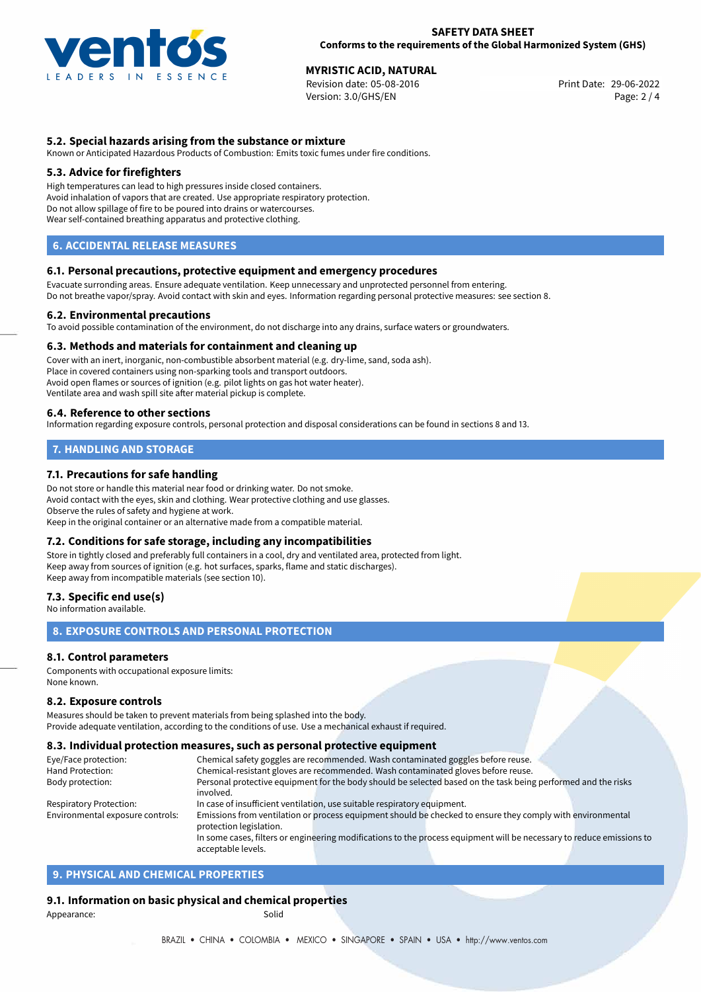

# **MYRISTIC ACID, NATURAL**<br> **29-06-2022 Revision date: 05-08-2016 Microsoft Contract Contract Print Date: 29-06-2022**

Revision date: 05-08-2016 Version: 3.0/GHS/EN Page: 2 / 4

# **5.2. Special hazards arising from the substance or mixture**

Known or Anticipated Hazardous Products of Combustion: Emits toxic fumes under fire conditions.

## **5.3. Advice for firefighters**

High temperatures can lead to high pressures inside closed containers. Avoid inhalation of vapors that are created. Use appropriate respiratory protection. Do not allow spillage of fire to be poured into drains or watercourses. Wear self-contained breathing apparatus and protective clothing.

# **6. ACCIDENTAL RELEASE MEASURES**

#### **6.1. Personal precautions, protective equipment and emergency procedures**

Evacuate surronding areas. Ensure adequate ventilation. Keep unnecessary and unprotected personnel from entering. Do not breathe vapor/spray. Avoid contact with skin and eyes. Information regarding personal protective measures: see section 8.

#### **6.2. Environmental precautions**

To avoid possible contamination of the environment, do not discharge into any drains, surface waters or groundwaters.

#### **6.3. Methods and materials for containment and cleaning up**

Cover with an inert, inorganic, non-combustible absorbent material (e.g. dry-lime, sand, soda ash). Place in covered containers using non-sparking tools and transport outdoors. Avoid open flames or sources of ignition (e.g. pilot lights on gas hot water heater). Ventilate area and wash spill site after material pickup is complete.

#### **6.4. Reference to other sections**

Information regarding exposure controls, personal protection and disposal considerations can be found in sections 8 and 13.

# **7. HANDLING AND STORAGE**

# **7.1. Precautions for safe handling**

Do not store or handle this material near food or drinking water. Do not smoke. Avoid contact with the eyes, skin and clothing. Wear protective clothing and use glasses. Observe the rules of safety and hygiene at work. Keep in the original container or an alternative made from a compatible material.

# **7.2. Conditions for safe storage, including any incompatibilities**

Store in tightly closed and preferably full containers in a cool, dry and ventilated area, protected from light. Keep away from sources of ignition (e.g. hot surfaces, sparks, flame and static discharges). Keep away from incompatible materials (see section 10).

# **7.3. Specific end use(s)**

No information available.

# **8. EXPOSURE CONTROLS AND PERSONAL PROTECTION**

# **8.1. Control parameters**

Components with occupational exposure limits: None known.

#### **8.2. Exposure controls**

Measures should be taken to prevent materials from being splashed into the body. Provide adequate ventilation, according to the conditions of use. Use a mechanical exhaust if required.

#### **8.3. Individual protection measures, such as personal protective equipment**

acceptable levels.

| Eye/Face protection:             | Chemical safety goggles are recommended. Wash contaminated goggles before reuse.                                      |  |  |  |  |
|----------------------------------|-----------------------------------------------------------------------------------------------------------------------|--|--|--|--|
| Hand Protection:                 | Chemical-resistant gloves are recommended. Wash contaminated gloves before reuse.                                     |  |  |  |  |
| Body protection:                 | Personal protective equipment for the body should be selected based on the task being performed and the risks         |  |  |  |  |
|                                  | involved.                                                                                                             |  |  |  |  |
| <b>Respiratory Protection:</b>   | In case of insufficient ventilation, use suitable respiratory equipment.                                              |  |  |  |  |
| Environmental exposure controls: | Emissions from ventilation or process equipment should be checked to ensure they comply with environmental            |  |  |  |  |
|                                  | protection legislation.                                                                                               |  |  |  |  |
|                                  | In some cases, filters or engineering modifications to the process equipment will be necessary to reduce emissions to |  |  |  |  |
|                                  |                                                                                                                       |  |  |  |  |

# **9. PHYSICAL AND CHEMICAL PROPERTIES**

# **9.1. Information on basic physical and chemical properties**

Appearance: Solid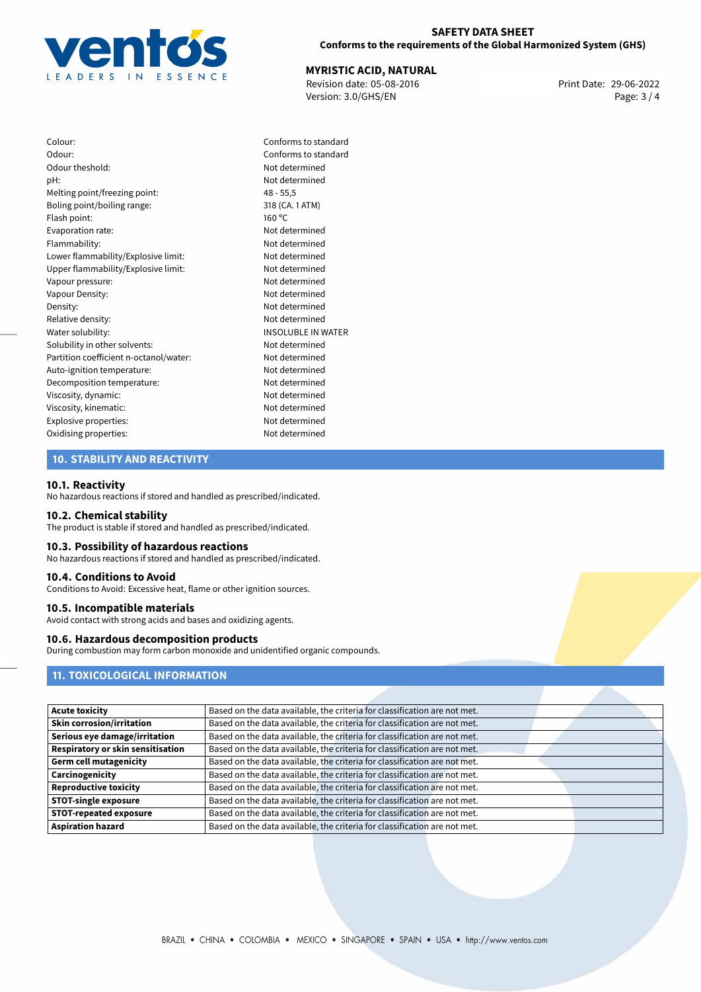

## **SAFETY DATA SHEET Conforms to the requirements of the Global Harmonized System (GHS)**

# **MYRISTIC ACID, NATURAL**<br>
Revision date: 05-08-2016<br> **Print Date: 29-06-2022**

Revision date: 05-08-2016 Version: 3.0/GHS/EN Page: 3 / 4

Colour: Conforms to standard Odour: Conforms to standard Odour theshold: Not determined pH: Not determined Melting point/freezing point: 48 - 55,5 Boling point/boiling range: 318 (CA. 1 ATM) Flash point: 160 °C Evaporation rate: Not determined Flammability: Not determined Lower flammability/Explosive limit: Not determined Upper flammability/Explosive limit: Not determined Vapour pressure: Not determined Vapour Density: Vapour Density: Density: Not determined Relative density: Not determined Water solubility: **INSOLUBLE IN WATER** Solubility in other solvents: Not determined Partition coefficient n-octanol/water: Not determined Auto-ignition temperature: Not determined Decomposition temperature: Not determined Viscosity, dynamic: Not determined Viscosity, kinematic: Not determined Explosive properties: Not determined Oxidising properties: Not determined

# **10. STABILITY AND REACTIVITY**

#### **10.1. Reactivity**

No hazardous reactions if stored and handled as prescribed/indicated.

#### **10.2. Chemical stability**

The product is stable if stored and handled as prescribed/indicated.

## **10.3. Possibility of hazardous reactions**

No hazardous reactions if stored and handled as prescribed/indicated.

#### **10.4. Conditions to Avoid**

Conditions to Avoid: Excessive heat, flame or other ignition sources.

#### **10.5. Incompatible materials**

Avoid contact with strong acids and bases and oxidizing agents.

# **10.6. Hazardous decomposition products**

During combustion may form carbon monoxide and unidentified organic compounds.

# **11. TOXICOLOGICAL INFORMATION**

| <b>Acute toxicity</b>             | Based on the data available, the criteria for classification are not met. |
|-----------------------------------|---------------------------------------------------------------------------|
| <b>Skin corrosion/irritation</b>  | Based on the data available, the criteria for classification are not met. |
| Serious eye damage/irritation     | Based on the data available, the criteria for classification are not met. |
| Respiratory or skin sensitisation | Based on the data available, the criteria for classification are not met. |
| <b>Germ cell mutagenicity</b>     | Based on the data available, the criteria for classification are not met. |
| Carcinogenicity                   | Based on the data available, the criteria for classification are not met. |
| <b>Reproductive toxicity</b>      | Based on the data available, the criteria for classification are not met. |
| <b>STOT-single exposure</b>       | Based on the data available, the criteria for classification are not met. |
| <b>STOT-repeated exposure</b>     | Based on the data available, the criteria for classification are not met. |
| <b>Aspiration hazard</b>          | Based on the data available, the criteria for classification are not met. |
|                                   |                                                                           |